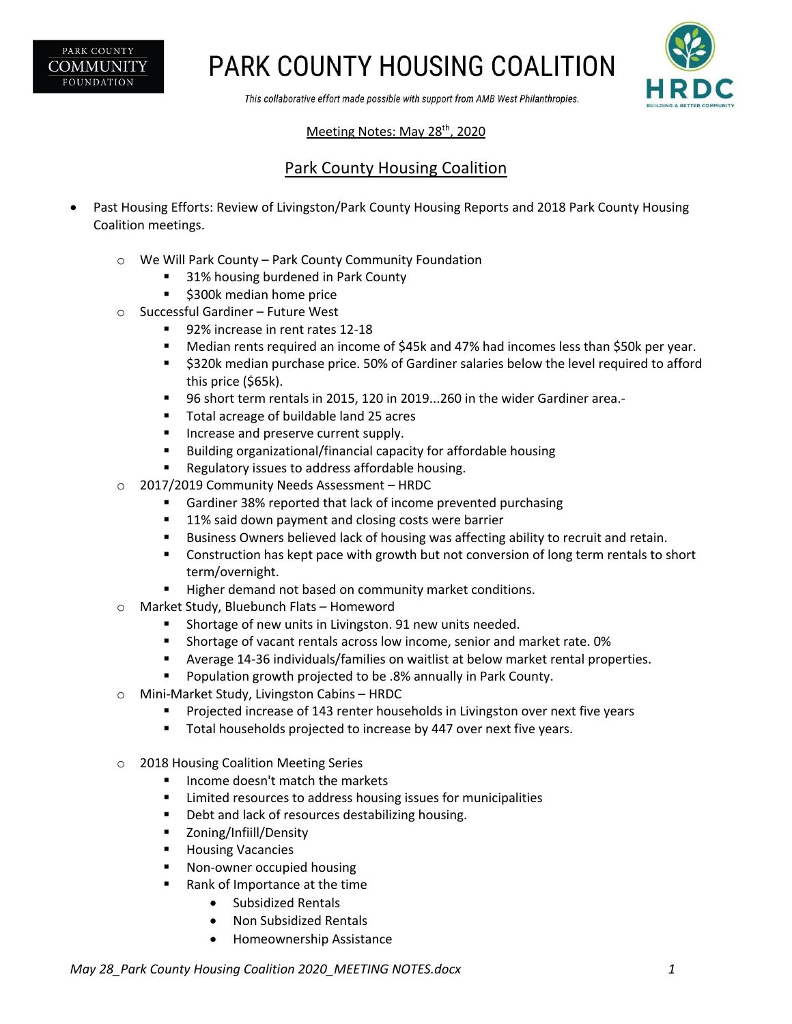PARK COUNTY **COMMUNITY FOUNDATION** 

## **PARK COUNTY HOUSING COALITION**



This collaborative effort made possible with support from AMB West Philanthropies.

### Meeting Notes: May 28<sup>th</sup>, 2020

### Park County Housing Coalition

- Past Housing Efforts: Review of Livingston/Park County Housing Reports and 2018 Park County Housing Coalition meetings.
	- o We Will Park County Park County Community Foundation
		- § 31% housing burdened in Park County
		- \$300k median home price
	- o Successful Gardiner Future West
		- 92% increase in rent rates 12-18
		- Median rents required an income of \$45k and 47% had incomes less than \$50k per year.
		- § \$320k median purchase price. 50% of Gardiner salaries below the level required to afford this price (\$65k).
		- 96 short term rentals in 2015, 120 in 2019...260 in the wider Gardiner area.-
		- Total acreage of buildable land 25 acres
		- **EXEC** Increase and preserve current supply.
		- Building organizational/financial capacity for affordable housing
		- Regulatory issues to address affordable housing.
	- o 2017/2019 Community Needs Assessment HRDC
		- § Gardiner 38% reported that lack of income prevented purchasing
		- 11% said down payment and closing costs were barrier
		- **■** Business Owners believed lack of housing was affecting ability to recruit and retain.
		- Construction has kept pace with growth but not conversion of long term rentals to short term/overnight.
		- Higher demand not based on community market conditions.
	- o Market Study, Bluebunch Flats Homeword
		- Shortage of new units in Livingston. 91 new units needed.
		- § Shortage of vacant rentals across low income, senior and market rate. 0%
		- § Average 14-36 individuals/families on waitlist at below market rental properties.
		- Population growth projected to be .8% annually in Park County.
	- o Mini-Market Study, Livingston Cabins HRDC
		- Projected increase of 143 renter households in Livingston over next five years
		- Total households projected to increase by 447 over next five years.
	- o 2018 Housing Coalition Meeting Series
		- Income doesn't match the markets
		- Limited resources to address housing issues for municipalities
		- Debt and lack of resources destabilizing housing.
		- Zoning/Infiill/Density
		- Housing Vacancies
		- Non-owner occupied housing
		- Rank of Importance at the time
			- Subsidized Rentals
			- Non Subsidized Rentals
			- Homeownership Assistance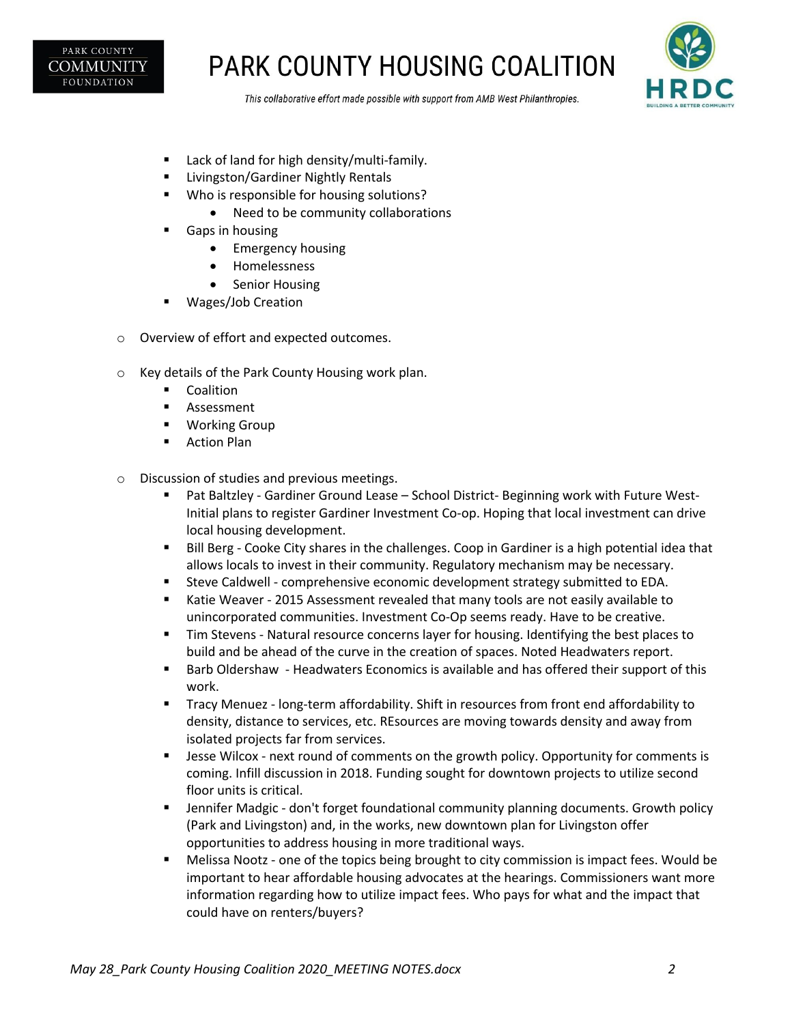

# **PARK COUNTY HOUSING COALITION**



This collaborative effort made possible with support from AMB West Philanthropies.

- Lack of land for high density/multi-family.
- § Livingston/Gardiner Nightly Rentals
- Who is responsible for housing solutions?
	- Need to be community collaborations
- Gaps in housing
	- Emergency housing
	- Homelessness
	- Senior Housing
- § Wages/Job Creation
- o Overview of effort and expected outcomes.
- o Key details of the Park County Housing work plan.
	- Coalition
	- Assessment
	- Working Group
	- Action Plan
- o Discussion of studies and previous meetings.
	- Pat Baltzley Gardiner Ground Lease School District- Beginning work with Future West-Initial plans to register Gardiner Investment Co-op. Hoping that local investment can drive local housing development.
	- Bill Berg Cooke City shares in the challenges. Coop in Gardiner is a high potential idea that allows locals to invest in their community. Regulatory mechanism may be necessary.
	- **•** Steve Caldwell comprehensive economic development strategy submitted to EDA.
	- Katie Weaver 2015 Assessment revealed that many tools are not easily available to unincorporated communities. Investment Co-Op seems ready. Have to be creative.
	- Tim Stevens Natural resource concerns layer for housing. Identifying the best places to build and be ahead of the curve in the creation of spaces. Noted Headwaters report.
	- Barb Oldershaw Headwaters Economics is available and has offered their support of this work.
	- Tracy Menuez long-term affordability. Shift in resources from front end affordability to density, distance to services, etc. REsources are moving towards density and away from isolated projects far from services.
	- Jesse Wilcox next round of comments on the growth policy. Opportunity for comments is coming. Infill discussion in 2018. Funding sought for downtown projects to utilize second floor units is critical.
	- Jennifer Madgic don't forget foundational community planning documents. Growth policy (Park and Livingston) and, in the works, new downtown plan for Livingston offer opportunities to address housing in more traditional ways.
	- Melissa Nootz one of the topics being brought to city commission is impact fees. Would be important to hear affordable housing advocates at the hearings. Commissioners want more information regarding how to utilize impact fees. Who pays for what and the impact that could have on renters/buyers?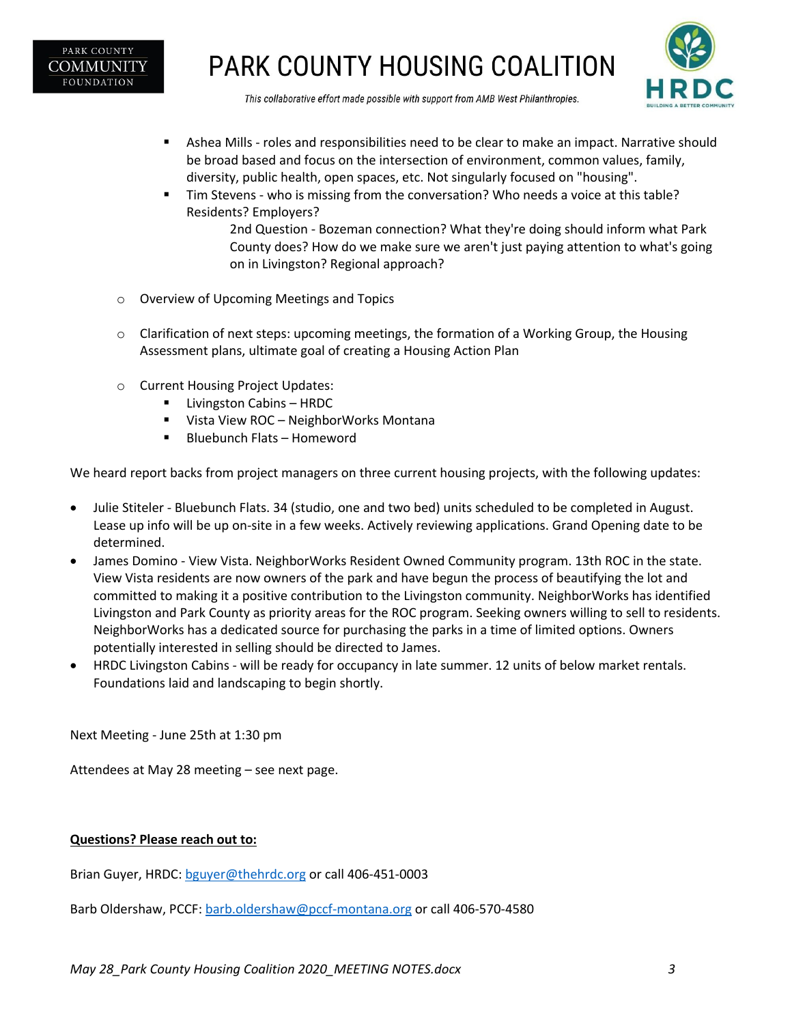

# **PARK COUNTY HOUSING COALITION**



This collaborative effort made possible with support from AMB West Philanthropies.

- **•** Ashea Mills roles and responsibilities need to be clear to make an impact. Narrative should be broad based and focus on the intersection of environment, common values, family, diversity, public health, open spaces, etc. Not singularly focused on "housing".
- Tim Stevens who is missing from the conversation? Who needs a voice at this table? Residents? Employers?

2nd Question - Bozeman connection? What they're doing should inform what Park County does? How do we make sure we aren't just paying attention to what's going on in Livingston? Regional approach?

- o Overview of Upcoming Meetings and Topics
- $\circ$  Clarification of next steps: upcoming meetings, the formation of a Working Group, the Housing Assessment plans, ultimate goal of creating a Housing Action Plan
- o Current Housing Project Updates:
	- Livingston Cabins HRDC
	- Vista View ROC NeighborWorks Montana
	- § Bluebunch Flats Homeword

We heard report backs from project managers on three current housing projects, with the following updates:

- Julie Stiteler Bluebunch Flats. 34 (studio, one and two bed) units scheduled to be completed in August. Lease up info will be up on-site in a few weeks. Actively reviewing applications. Grand Opening date to be determined.
- James Domino View Vista. NeighborWorks Resident Owned Community program. 13th ROC in the state. View Vista residents are now owners of the park and have begun the process of beautifying the lot and committed to making it a positive contribution to the Livingston community. NeighborWorks has identified Livingston and Park County as priority areas for the ROC program. Seeking owners willing to sell to residents. NeighborWorks has a dedicated source for purchasing the parks in a time of limited options. Owners potentially interested in selling should be directed to James.
- HRDC Livingston Cabins will be ready for occupancy in late summer. 12 units of below market rentals. Foundations laid and landscaping to begin shortly.

Next Meeting - June 25th at 1:30 pm

Attendees at May 28 meeting – see next page.

#### **Questions? Please reach out to:**

Brian Guyer, HRDC: bguyer@thehrdc.org or call 406-451-0003

Barb Oldershaw, PCCF: barb.oldershaw@pccf-montana.org or call 406-570-4580